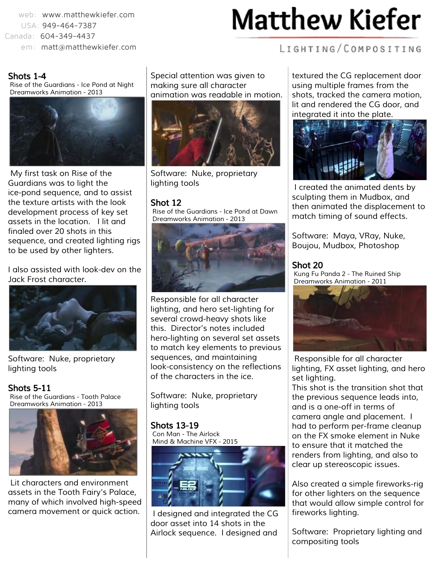web: [www.matthewkiefer.com](http://www.matthewkiefer.com/) USA: 949-464-7387 Canada: 604-349-4437 em: [matt@matthewkiefer.com](mailto:matt@matthewkiefer.com)

# **Matthew Kiefer**

### Shots 1-4

Rise of the Guardians - Ice Pond at Night Dreamworks Animation - 2013



My first task on Rise of the Guardians was to light the ice-pond sequence, and to assist the texture artists with the look development process of key set assets in the location. I lit and finaled over 20 shots in this sequence, and created lighting rigs to be used by other lighters.

I also assisted with look-dev on the Jack Frost character.



Software: Nuke, proprietary lighting tools

Shots 5-11 Rise of the Guardians - Tooth Palace Dreamworks Animation - 2013



Lit characters and environment assets in the Tooth Fairy's Palace, many of which involved high-speed camera movement or quick action.

Special attention was given to making sure all character animation was readable in motion.



Software: Nuke, proprietary lighting tools

#### Shot 12

Rise of the Guardians - Ice Pond at Dawn Dreamworks Animation - 2013



Responsible for all character lighting, and hero set-lighting for several crowd-heavy shots like this. Director's notes included hero-lighting on several set assets to match key elements to previous sequences, and maintaining look-consistency on the reflections of the characters in the ice.

Software: Nuke, proprietary lighting tools

Shots 13-19 Con Man - The Airlock Mind & Machine VFX - 2015



I designed and integrated the CG door asset into 14 shots in the Airlock sequence. I designed and

LIGHTING/COMPOSITING

textured the CG replacement door using multiple frames from the shots, tracked the camera motion, lit and rendered the CG door, and integrated it into the plate.



I created the animated dents by sculpting them in Mudbox, and then animated the displacement to match timing of sound effects.

Software: Maya, VRay, Nuke, Boujou, Mudbox, Photoshop

#### Shot 20

 $\overline{\phantom{a}}$ 

Kung Fu Panda 2 - The Ruined Ship Dreamworks Animation - 2011



Responsible for all character lighting, FX asset lighting, and hero set lighting.

This shot is the transition shot that the previous sequence leads into, and is a one-off in terms of camera angle and placement. I had to perform per-frame cleanup on the FX smoke element in Nuke to ensure that it matched the renders from lighting, and also to clear up stereoscopic issues.

Also created a simple fireworks-rig for other lighters on the sequence that would allow simple control for fireworks lighting.

Software: Proprietary lighting and compositing tools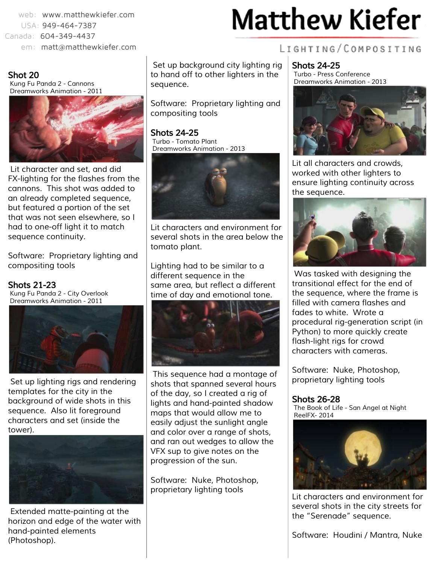web: [www.matthewkiefer.com](http://www.matthewkiefer.com/) USA: 949-464-7387 Canada: 604-349-4437

em: [matt@matthewkiefer.com](mailto:matt@matthewkiefer.com)

### Shot 20

Kung Fu Panda 2 - Cannons Dreamworks Animation - 2011



Lit character and set, and did FX-lighting for the flashes from the cannons. This shot was added to an already completed sequence, but featured a portion of the set that was not seen elsewhere, so I had to one-off light it to match sequence continuity.

Software: Proprietary lighting and compositing tools

Shots 21-23 Kung Fu Panda 2 - City Overlook Dreamworks Animation - 2011



Set up lighting rigs and rendering templates for the city in the background of wide shots in this sequence. Also lit foreground characters and set (inside the tower).



Extended matte-painting at the horizon and edge of the water with hand-painted elements (Photoshop).

Set up background city lighting rig to hand off to other lighters in the sequence.

Software: Proprietary lighting and compositing tools

Shots 24-25 Turbo - Tomato Plant Dreamworks Animation - 2013



Lit characters and environment for several shots in the area below the tomato plant.

Lighting had to be similar to a different sequence in the same area, but reflect a different time of day and emotional tone.



This sequence had a montage of shots that spanned several hours of the day, so I created a rig of lights and hand-painted shadow maps that would allow me to easily adjust the sunlight angle and color over a range of shots, and ran out wedges to allow the VFX sup to give notes on the progression of the sun.

Software: Nuke, Photoshop, proprietary lighting tools

# **Matthew Kiefer**

### LIGHTING/COMPOSITING

Shots 24-25 Turbo - Press Conference Dreamworks Animation - 2013



Lit all characters and crowds, worked with other lighters to ensure lighting continuity across the sequence.



Was tasked with designing the transitional effect for the end of the sequence, where the frame is filled with camera flashes and fades to white. Wrote a procedural rig-generation script (in Python) to more quickly create flash-light rigs for crowd characters with cameras.

Software: Nuke, Photoshop, proprietary lighting tools

### Shots 26-28

The Book of Life - San Angel at Night ReelFX- 2014



Lit characters and environment for several shots in the city streets for the "Serenade" sequence.

Software: Houdini / Mantra, Nuke